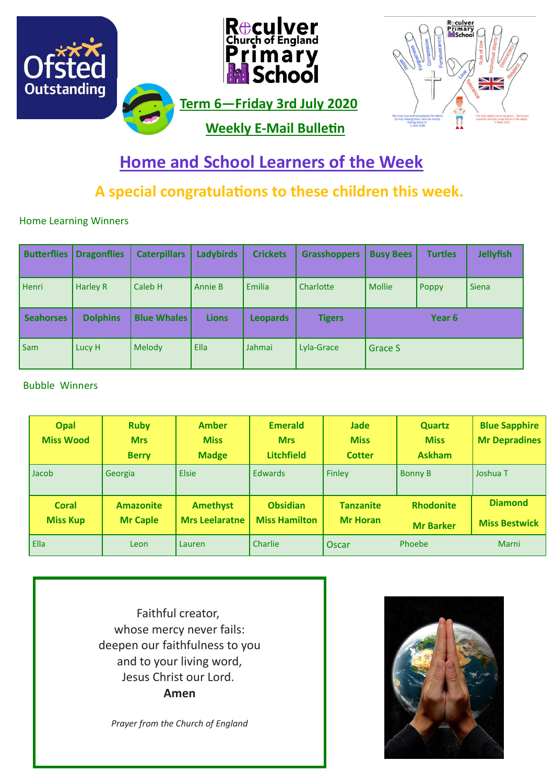

# **Home and School Learners of the Week**

## **A special congratulations to these children this week.**

Home Learning Winners

| <b>Butterflies</b> | <b>Dragonflies</b> | <b>Caterpillars</b> | <b>Ladybirds</b> | <b>Crickets</b> | <b>Grasshoppers</b> | <b>Busy Bees</b> | <b>Turtles</b> | <b>Jellyfish</b> |
|--------------------|--------------------|---------------------|------------------|-----------------|---------------------|------------------|----------------|------------------|
| <b>Henri</b>       | Harley R           | Caleb H             | Annie B          | <b>Emilia</b>   | Charlotte           | <b>Mollie</b>    | <b>Poppy</b>   | <b>Siena</b>     |
| <b>Seahorses</b>   | <b>Dolphins</b>    | <b>Blue Whales</b>  | <b>Lions</b>     | <b>Leopards</b> | <b>Tigers</b>       | Year 6           |                |                  |
| Sam                | Lucy H             | Melody              | Ella             | Jahmai          | Lyla-Grace          | Grace S          |                |                  |

#### Bubble Winners

| <b>Opal</b><br><b>Miss Wood</b> | <b>Ruby</b><br><b>Mrs</b><br><b>Berry</b> | <b>Amber</b><br><b>Miss</b><br><b>Madge</b> | <b>Emerald</b><br><b>Mrs</b><br><b>Litchfield</b> | <b>Jade</b><br><b>Miss</b><br><b>Cotter</b> | <b>Quartz</b><br><b>Miss</b><br><b>Askham</b> | <b>Blue Sapphire</b><br><b>Mr Depradines</b> |
|---------------------------------|-------------------------------------------|---------------------------------------------|---------------------------------------------------|---------------------------------------------|-----------------------------------------------|----------------------------------------------|
| Jacob                           | Georgia                                   | Elsie                                       | <b>Edwards</b>                                    | Finley                                      | <b>Bonny B</b>                                | Joshua T                                     |
| Coral<br><b>Miss Kup</b>        | <b>Amazonite</b><br><b>Mr Caple</b>       | <b>Amethyst</b><br><b>Mrs Leelaratne</b>    | <b>Obsidian</b><br><b>Miss Hamilton</b>           | <b>Tanzanite</b><br><b>Mr Horan</b>         | <b>Rhodonite</b><br><b>Mr Barker</b>          | <b>Diamond</b><br><b>Miss Bestwick</b>       |
| l Ella                          | Leon                                      | Lauren                                      | Charlie                                           | Oscar                                       | Phoebe                                        | Marni                                        |

Faithful creator, whose mercy never fails: deepen our faithfulness to you and to your living word, Jesus Christ our Lord. **Amen**

*Prayer from the Church of England*

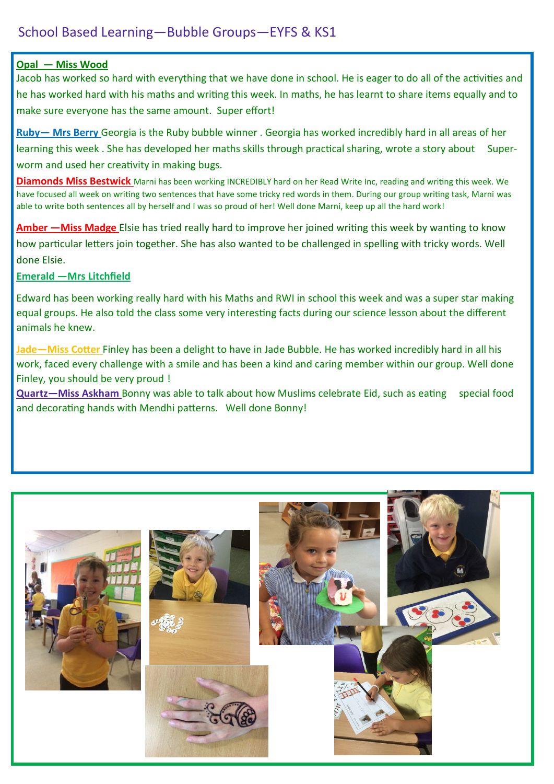#### **Opal — Miss Wood**

Jacob has worked so hard with everything that we have done in school. He is eager to do all of the activities and he has worked hard with his maths and writing this week. In maths, he has learnt to share items equally and to make sure everyone has the same amount. Super effort!

**Ruby— Mrs Berry** Georgia is the Ruby bubble winner . Georgia has worked incredibly hard in all areas of her learning this week. She has developed her maths skills through practical sharing, wrote a story about Superworm and used her creativity in making bugs.

**Diamonds Miss Bestwick** Marni has been working INCREDIBLY hard on her Read Write Inc, reading and writing this week. We have focused all week on writing two sentences that have some tricky red words in them. During our group writing task, Marni was able to write both sentences all by herself and I was so proud of her! Well done Marni, keep up all the hard work!

**Amber —Miss Madge** Elsie has tried really hard to improve her joined writing this week by wanting to know how particular letters join together. She has also wanted to be challenged in spelling with tricky words. Well done Elsie.

#### **Emerald —Mrs Litchfield**

Edward has been working really hard with his Maths and RWI in school this week and was a super star making equal groups. He also told the class some very interesting facts during our science lesson about the different animals he knew.

**Jade—Miss Cotter** Finley has been a delight to have in Jade Bubble. He has worked incredibly hard in all his work, faced every challenge with a smile and has been a kind and caring member within our group. Well done Finley, you should be very proud !

**Quartz—Miss Askham** Bonny was able to talk about how Muslims celebrate Eid, such as eating special food and decorating hands with Mendhi patterns. Well done Bonny!

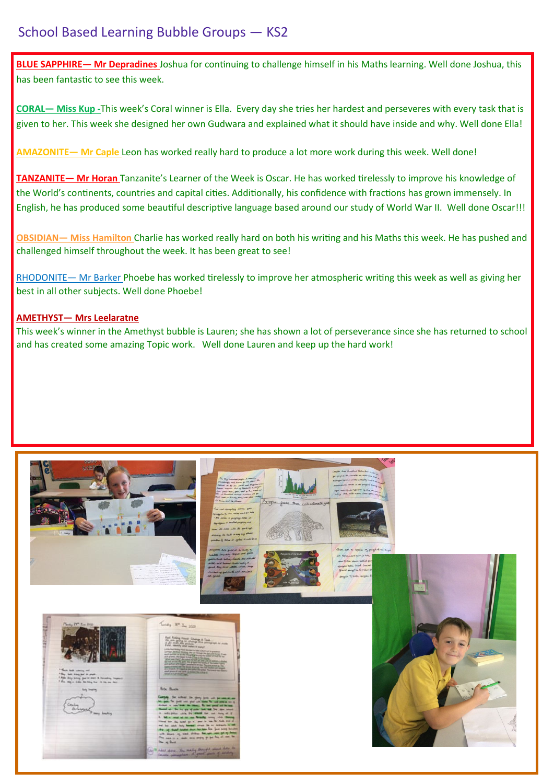## School Based Learning Bubble Groups — KS2

**BLUE SAPPHIRE— Mr Depradines** Joshua for continuing to challenge himself in his Maths learning. Well done Joshua, this has been fantastic to see this week.

**CORAL— Miss Kup -**This week's Coral winner is Ella. Every day she tries her hardest and perseveres with every task that is given to her. This week she designed her own Gudwara and explained what it should have inside and why. Well done Ella!

**AMAZONITE— Mr Caple** Leon has worked really hard to produce a lot more work during this week. Well done!

**TANZANITE— Mr Horan** Tanzanite's Learner of the Week is Oscar. He has worked tirelessly to improve his knowledge of the World's continents, countries and capital cities. Additionally, his confidence with fractions has grown immensely. In English, he has produced some beautiful descriptive language based around our study of World War II. Well done Oscar!!!

**OBSIDIAN— Miss Hamilton** Charlie has worked really hard on both his writing and his Maths this week. He has pushed and challenged himself throughout the week. It has been great to see!

RHODONITE— Mr Barker Phoebe has worked tirelessly to improve her atmospheric writing this week as well as giving her best in all other subjects. Well done Phoebe!

#### **AMETHYST— Mrs Leelaratne**

This week's winner in the Amethyst bubble is Lauren; she has shown a lot of perseverance since she has returned to school and has created some amazing Topic work. Well done Lauren and keep up the hard work!